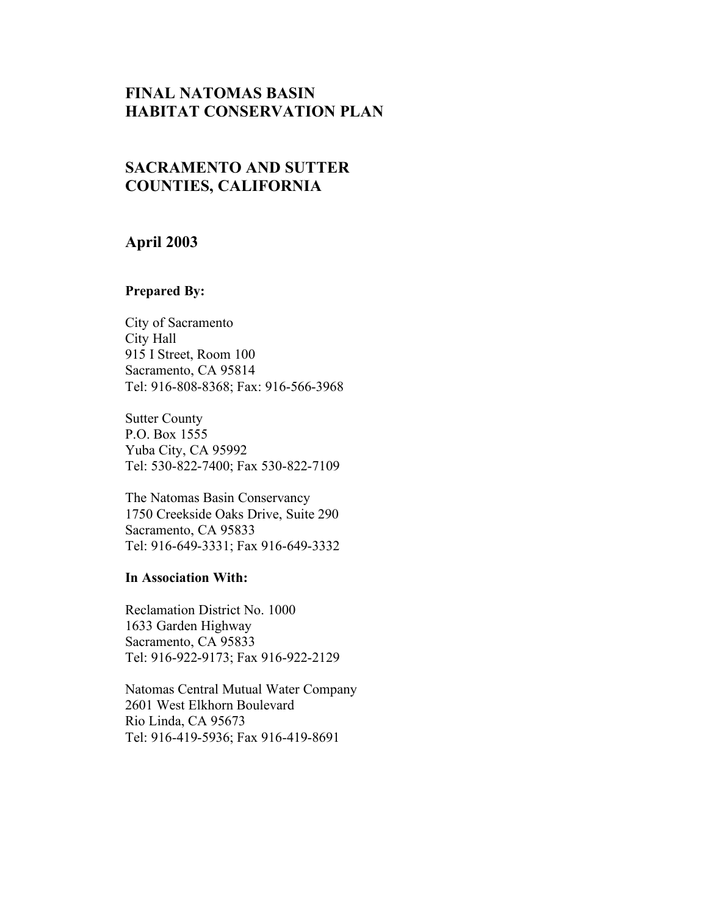## **FINAL NATOMAS BASIN HABITAT CONSERVATION PLAN**

# **SACRAMENTO AND SUTTER COUNTIES, CALIFORNIA**

### **April 2003**

### **Prepared By:**

 915 I Street, Room 100 City of Sacramento City Hall Sacramento, CA 95814 Tel: 916-808-8368; Fax: 916-566-3968

 Yuba City, CA 95992 Sutter County P.O. Box 1555 Tel: 530-822-7400; Fax 530-822-7109

 The Natomas Basin Conservancy Sacramento, CA 95833 1750 Creekside Oaks Drive, Suite 290 Tel: 916-649-3331; Fax 916-649-3332

#### **In Association With:**

 Reclamation District No. 1000 Sacramento, CA 95833 1633 Garden Highway Tel: 916-922-9173; Fax 916-922-2129

 Natomas Central Mutual Water Company Rio Linda, CA 95673 2601 West Elkhorn Boulevard Tel: 916-419-5936; Fax 916-419-8691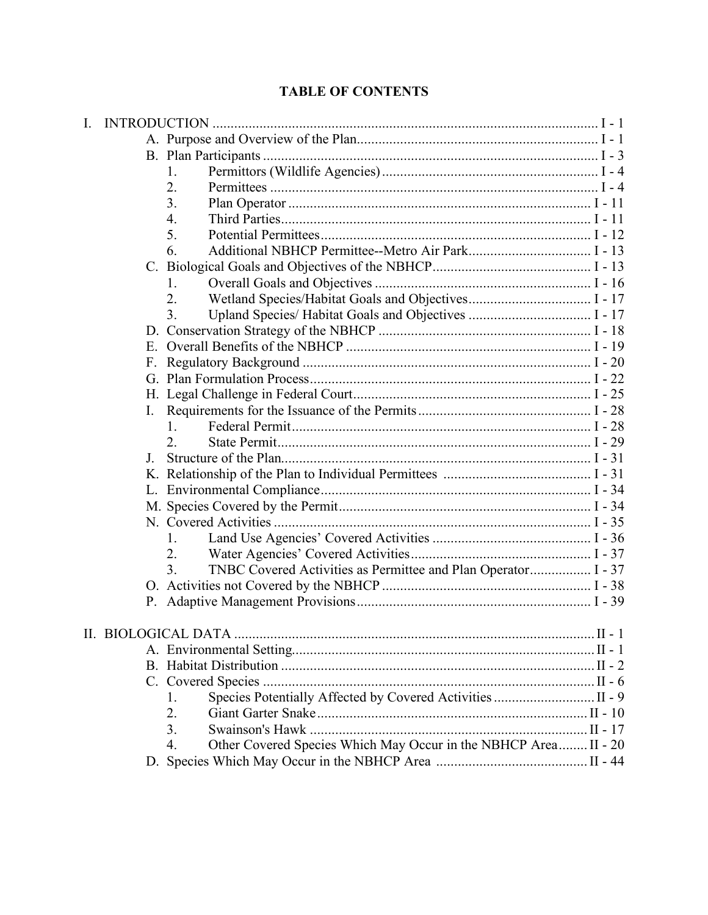### 6. Additional NBHCP Permittee--Metro Air Park.................................. I - 13 C. Biological Goals and Objectives of the NBHCP............................................ I - 13 1. Overall Goals and Objectives ............................................................ I - 16 2. Wetland Species/Habitat Goals and Objectives.................................. I - 17 3. Upland Species/ Habitat Goals and Objectives .................................. I - 17 D. Conservation Strategy of the NBHCP ........................................................... I - 18 E. Overall Benefits of the NBHCP .................................................................... I - 19 H. Legal Challenge in Federal Court.................................................................. I - 25 I. Requirements for the Issuance of the Permits................................................ I - 28 J. Structure of the Plan...................................................................................... I - 31 K. Relationship of the Plan to Individual Permittees ......................................... I - 31 1. Land Use Agencies' Covered Activities ............................................ I - 36 2. Water Agencies' Covered Activities.................................................. I - 37 3. TNBC Covered Activities as Permittee and Plan Operator................. I - 37 O. Activities not Covered by the NBHCP .......................................................... I - 38 2. Giant Garter Snake........................................................................... II - 10 4. Other Covered Species Which May Occur in the NBHCP Area........ II - 20 D. Species Which May Occur in the NBHCP Area .......................................... II - 44 I. INTRODUCTION ........................................................................................................... I - 1 A. Purpose and Overview of the Plan................................................................... I - 1 B. Plan Participants ............................................................................................. I - 3 1. Permittors (Wildlife Agencies) ............................................................ I - 4 2. Permittees ........................................................................................... I - 4 3. Plan Operator .................................................................................... I - 11 4. Third Parties...................................................................................... I - 11 5. Potential Permittees........................................................................... I - 12 F. Regulatory Background ................................................................................ I - 20 G. Plan Formulation Process.............................................................................. I - 22 1. Federal Permit................................................................................... I - 28 2. State Permit....................................................................................... I - 29 L. Environmental Compliance........................................................................... I - 34 M. Species Covered by the Permit...................................................................... I - 34 N. Covered Activities ........................................................................................ I - 35 P. Adaptive Management Provisions................................................................. I - 39 II. BIOLOGICAL DATA .................................................................................................... II - 1 A. Environmental Setting.................................................................................... II - 1 B. Habitat Distribution ....................................................................................... II - 2 C. Covered Species ............................................................................................ II - 6 1. Species Potentially Affected by Covered Activities ............................ II - 9 3. Swainson's Hawk ............................................................................. II - 17

## **TABLE OF CONTENTS**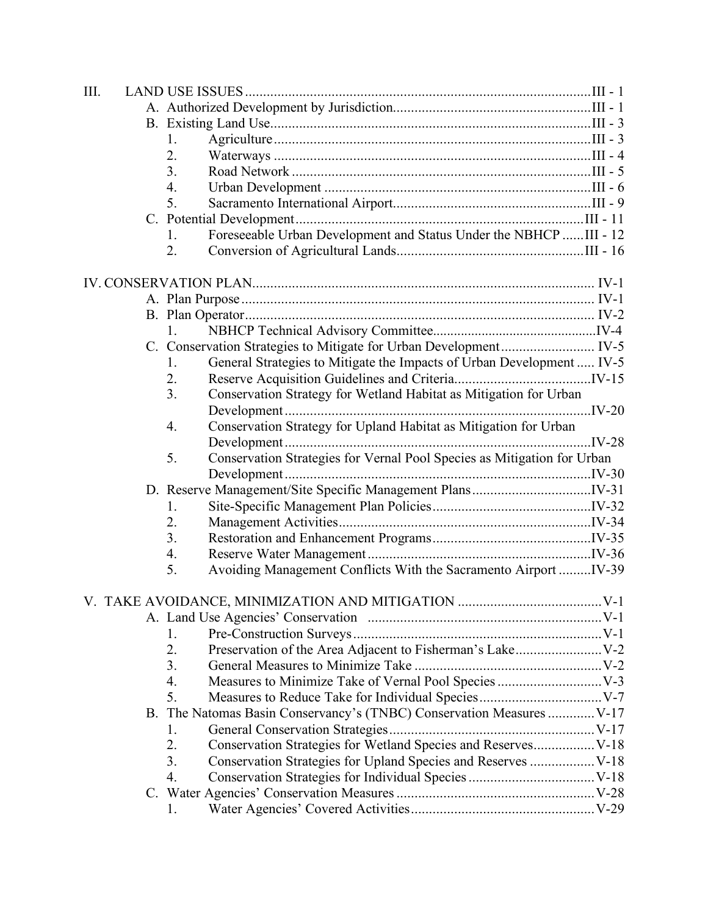| III. |                                                                               |  |
|------|-------------------------------------------------------------------------------|--|
|      |                                                                               |  |
|      |                                                                               |  |
|      | 1.                                                                            |  |
|      | 2.                                                                            |  |
|      | 3.                                                                            |  |
|      | 4.                                                                            |  |
|      | 5.                                                                            |  |
|      |                                                                               |  |
|      | Foreseeable Urban Development and Status Under the NBHCP  III - 12<br>1.      |  |
|      | 2.                                                                            |  |
|      |                                                                               |  |
|      |                                                                               |  |
|      |                                                                               |  |
|      | 1.                                                                            |  |
|      |                                                                               |  |
|      | General Strategies to Mitigate the Impacts of Urban Development  IV-5<br>1.   |  |
|      | 2.                                                                            |  |
|      | 3.<br>Conservation Strategy for Wetland Habitat as Mitigation for Urban       |  |
|      |                                                                               |  |
|      | Conservation Strategy for Upland Habitat as Mitigation for Urban<br>4.        |  |
|      |                                                                               |  |
|      | Conservation Strategies for Vernal Pool Species as Mitigation for Urban<br>5. |  |
|      |                                                                               |  |
|      |                                                                               |  |
|      | 1.                                                                            |  |
|      | 2.                                                                            |  |
|      | 3.                                                                            |  |
|      | 4.                                                                            |  |
|      | Avoiding Management Conflicts With the Sacramento Airport IV-39<br>5.         |  |
|      |                                                                               |  |
|      |                                                                               |  |
|      |                                                                               |  |
|      | 1.                                                                            |  |
|      | 2.                                                                            |  |
|      | 3.                                                                            |  |
|      | 4.                                                                            |  |
|      | 5.                                                                            |  |
|      | B. The Natomas Basin Conservancy's (TNBC) Conservation Measures  V-17         |  |
|      | 1.                                                                            |  |
|      | Conservation Strategies for Wetland Species and Reserves V-18<br>2.           |  |
|      | 3.<br>Conservation Strategies for Upland Species and Reserves  V-18           |  |
|      | 4.                                                                            |  |
|      |                                                                               |  |
|      | 1.                                                                            |  |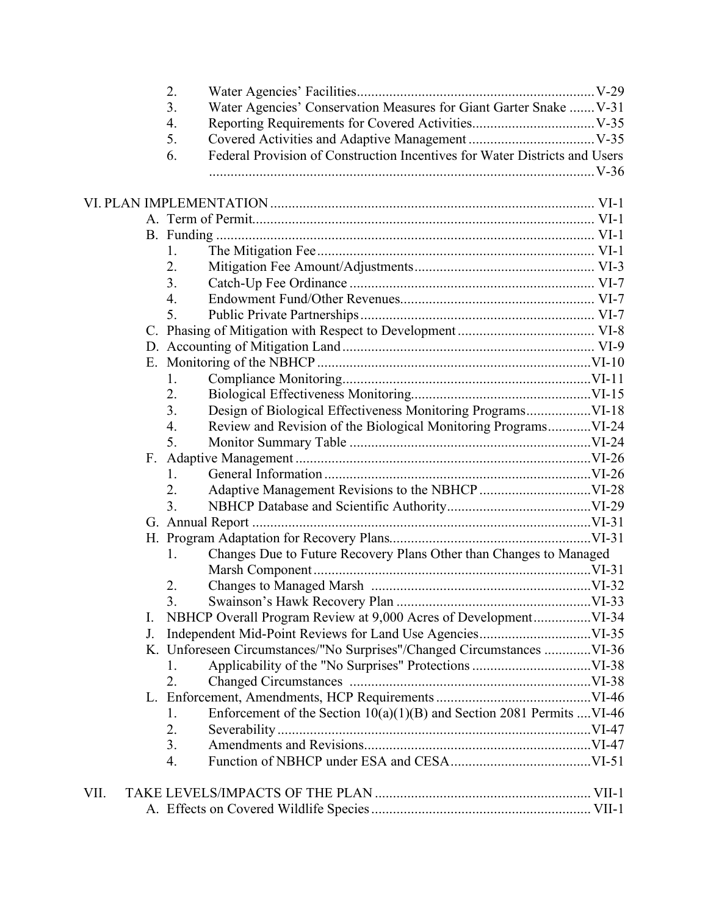| 2.                                                                               |  |
|----------------------------------------------------------------------------------|--|
| 3.<br>Water Agencies' Conservation Measures for Giant Garter Snake  V-31         |  |
| 4.                                                                               |  |
| 5.                                                                               |  |
| Federal Provision of Construction Incentives for Water Districts and Users<br>6. |  |
|                                                                                  |  |
|                                                                                  |  |
|                                                                                  |  |
|                                                                                  |  |
|                                                                                  |  |
| 1.                                                                               |  |
| 2.                                                                               |  |
| 3.                                                                               |  |
| 4.                                                                               |  |
| 5.                                                                               |  |
|                                                                                  |  |
|                                                                                  |  |
|                                                                                  |  |
| 1.                                                                               |  |
| 2.                                                                               |  |
| Design of Biological Effectiveness Monitoring Programs VI-18<br>3.               |  |
| Review and Revision of the Biological Monitoring ProgramsVI-24<br>4.             |  |
| 5.                                                                               |  |
|                                                                                  |  |
| 1.                                                                               |  |
| 2.                                                                               |  |
| 3.                                                                               |  |
|                                                                                  |  |
|                                                                                  |  |
| Changes Due to Future Recovery Plans Other than Changes to Managed<br>1.         |  |
|                                                                                  |  |
| 2.                                                                               |  |
| 3.                                                                               |  |
| I.                                                                               |  |
| J.                                                                               |  |
| K. Unforeseen Circumstances/"No Surprises"/Changed Circumstances VI-36           |  |
| $\mathbf{I}$ .                                                                   |  |
| 2.                                                                               |  |
|                                                                                  |  |
| Enforcement of the Section 10(a)(1)(B) and Section 2081 Permits  VI-46<br>1.     |  |
| 2.                                                                               |  |
| 3.                                                                               |  |
| 4.                                                                               |  |
|                                                                                  |  |
| VII.                                                                             |  |
|                                                                                  |  |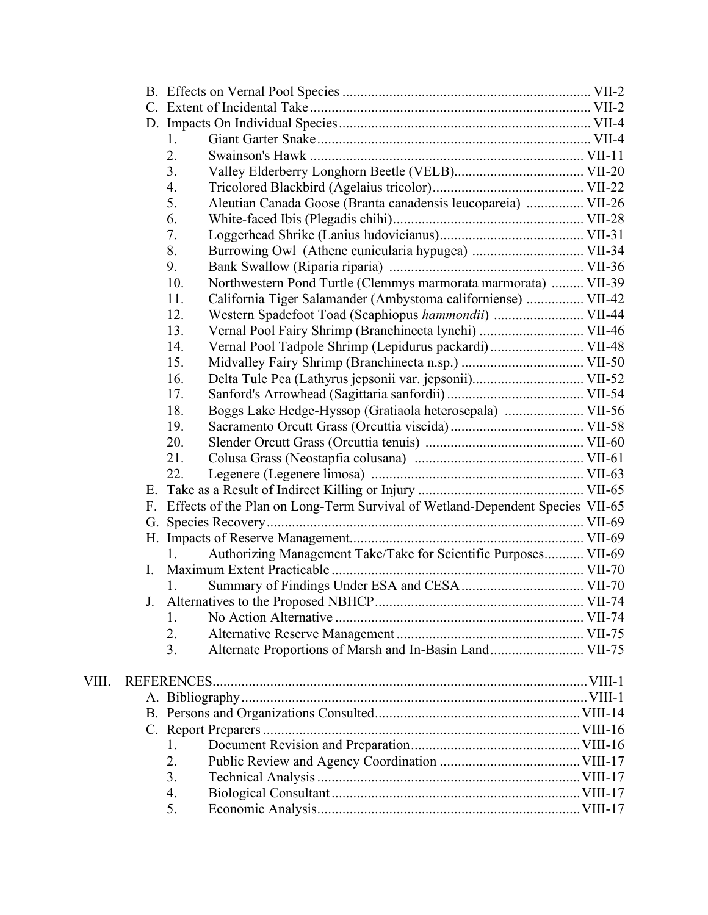|       |   | 1.                                                                               |  |
|-------|---|----------------------------------------------------------------------------------|--|
|       |   | 2.                                                                               |  |
|       |   | 3.                                                                               |  |
|       |   | 4.                                                                               |  |
|       |   | 5.<br>Aleutian Canada Goose (Branta canadensis leucopareia)  VII-26              |  |
|       |   | 6.                                                                               |  |
|       |   | 7.                                                                               |  |
|       |   | 8.                                                                               |  |
|       |   | 9.                                                                               |  |
|       |   | Northwestern Pond Turtle (Clemmys marmorata marmorata)  VII-39<br>10.            |  |
|       |   | California Tiger Salamander (Ambystoma californiense)  VII-42<br>11.             |  |
|       |   | Western Spadefoot Toad (Scaphiopus hammondii)  VII-44<br>12.                     |  |
|       |   | Vernal Pool Fairy Shrimp (Branchinecta lynchi)  VII-46<br>13.                    |  |
|       |   | Vernal Pool Tadpole Shrimp (Lepidurus packardi) VII-48<br>14.                    |  |
|       |   | 15.                                                                              |  |
|       |   | 16.                                                                              |  |
|       |   | 17.                                                                              |  |
|       |   | 18.<br>Boggs Lake Hedge-Hyssop (Gratiaola heterosepala)  VII-56                  |  |
|       |   | 19.                                                                              |  |
|       |   | 20.                                                                              |  |
|       |   | 21.                                                                              |  |
|       |   | 22.                                                                              |  |
|       |   |                                                                                  |  |
|       |   | F. Effects of the Plan on Long-Term Survival of Wetland-Dependent Species VII-65 |  |
|       |   |                                                                                  |  |
|       |   |                                                                                  |  |
|       |   | Authorizing Management Take/Take for Scientific Purposes VII-69<br>$1_{-}$       |  |
|       | L |                                                                                  |  |
|       |   |                                                                                  |  |
|       |   |                                                                                  |  |
|       |   | $\mathbf{I}$ .                                                                   |  |
|       |   | 2.                                                                               |  |
|       |   | 3.<br>Alternate Proportions of Marsh and In-Basin Land VII-75                    |  |
|       |   |                                                                                  |  |
| VIII. |   |                                                                                  |  |
|       |   |                                                                                  |  |
|       |   |                                                                                  |  |
|       |   |                                                                                  |  |
|       |   | 1.                                                                               |  |
|       |   | 2.                                                                               |  |
|       |   | 3.                                                                               |  |
|       |   | 4.                                                                               |  |
|       |   | 5.                                                                               |  |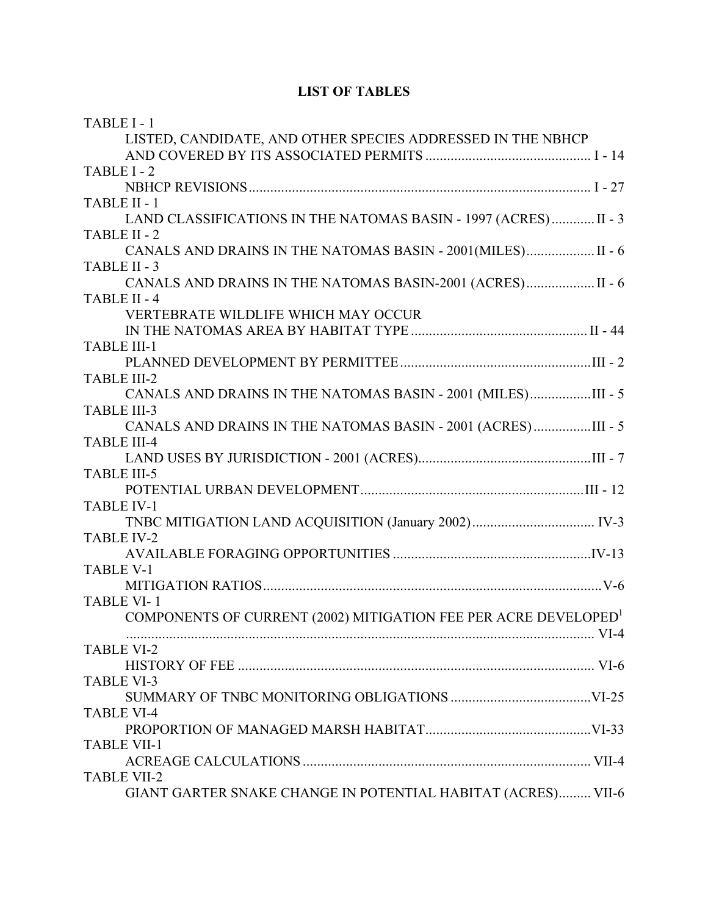### **LIST OF TABLES**

| TABLE I-1                                                                   |      |
|-----------------------------------------------------------------------------|------|
| LISTED, CANDIDATE, AND OTHER SPECIES ADDRESSED IN THE NBHCP                 |      |
|                                                                             |      |
| TABLE I-2                                                                   |      |
|                                                                             |      |
| TABLE II - 1                                                                |      |
| LAND CLASSIFICATIONS IN THE NATOMAS BASIN - 1997 (ACRES)  II - 3            |      |
| TABLE II - 2                                                                |      |
| CANALS AND DRAINS IN THE NATOMAS BASIN - 2001 (MILES) II - 6                |      |
| TABLE II - 3                                                                |      |
| CANALS AND DRAINS IN THE NATOMAS BASIN-2001 (ACRES) II - 6                  |      |
| TABLE II - 4                                                                |      |
| <b>VERTEBRATE WILDLIFE WHICH MAY OCCUR</b>                                  |      |
|                                                                             |      |
| <b>TABLE III-1</b>                                                          |      |
|                                                                             |      |
| <b>TABLE III-2</b>                                                          |      |
| CANALS AND DRAINS IN THE NATOMAS BASIN - 2001 (MILES)III - 5                |      |
| <b>TABLE III-3</b>                                                          |      |
| CANALS AND DRAINS IN THE NATOMAS BASIN - 2001 (ACRES)III - 5                |      |
| <b>TABLE III-4</b>                                                          |      |
|                                                                             |      |
| <b>TABLE III-5</b>                                                          |      |
|                                                                             |      |
| <b>TABLE IV-1</b>                                                           |      |
|                                                                             |      |
| <b>TABLE IV-2</b>                                                           |      |
|                                                                             |      |
| <b>TABLE V-1</b>                                                            |      |
|                                                                             |      |
| <b>TABLE VI-1</b>                                                           |      |
| COMPONENTS OF CURRENT (2002) MITIGATION FEE PER ACRE DEVELOPED <sup>1</sup> |      |
|                                                                             | VI-4 |
| <b>TABLE VI-2</b>                                                           |      |
|                                                                             |      |
| <b>TABLE VI-3</b>                                                           |      |
|                                                                             |      |
| <b>TABLE VI-4</b>                                                           |      |
|                                                                             |      |
| <b>TABLE VII-1</b>                                                          |      |
|                                                                             |      |
| <b>TABLE VII-2</b>                                                          |      |
| GIANT GARTER SNAKE CHANGE IN POTENTIAL HABITAT (ACRES) VII-6                |      |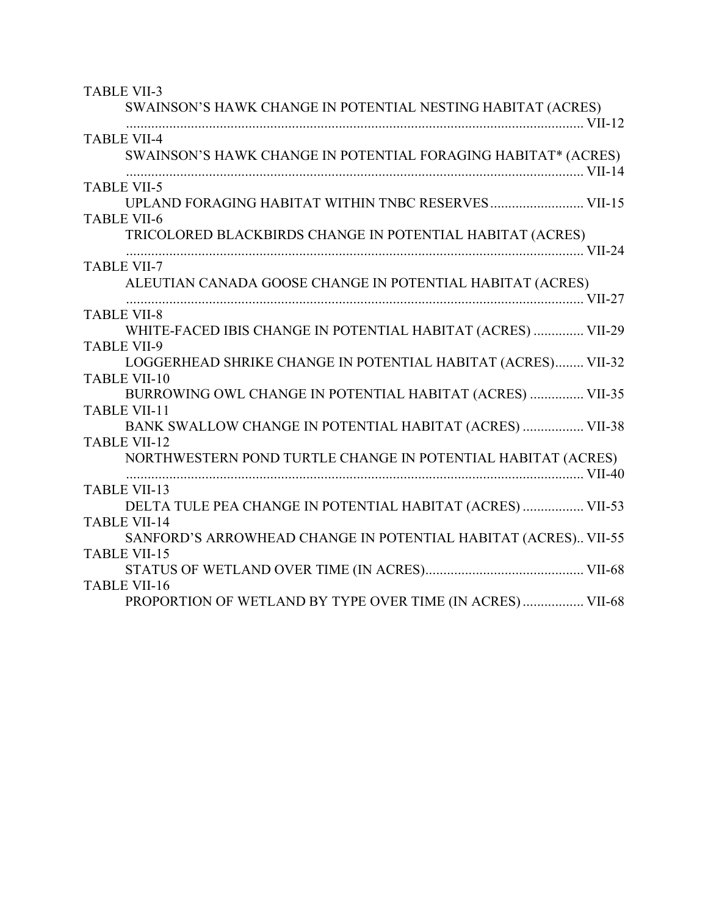| <b>TABLE VII-3</b><br>SWAINSON'S HAWK CHANGE IN POTENTIAL NESTING HABITAT (ACRES)                                                                   |  |
|-----------------------------------------------------------------------------------------------------------------------------------------------------|--|
| <b>TABLE VII-4</b><br>SWAINSON'S HAWK CHANGE IN POTENTIAL FORAGING HABITAT* (ACRES)                                                                 |  |
| <b>TABLE VII-5</b><br>UPLAND FORAGING HABITAT WITHIN TNBC RESERVES VII-15<br><b>TABLE VII-6</b>                                                     |  |
| TRICOLORED BLACKBIRDS CHANGE IN POTENTIAL HABITAT (ACRES)                                                                                           |  |
| <b>TABLE VII-7</b><br>ALEUTIAN CANADA GOOSE CHANGE IN POTENTIAL HABITAT (ACRES)                                                                     |  |
| <b>TABLE VII-8</b><br>WHITE-FACED IBIS CHANGE IN POTENTIAL HABITAT (ACRES)  VII-29                                                                  |  |
| <b>TABLE VII-9</b><br>LOGGERHEAD SHRIKE CHANGE IN POTENTIAL HABITAT (ACRES) VII-32<br><b>TABLE VII-10</b>                                           |  |
| BURROWING OWL CHANGE IN POTENTIAL HABITAT (ACRES)  VII-35<br><b>TABLE VII-11</b>                                                                    |  |
| BANK SWALLOW CHANGE IN POTENTIAL HABITAT (ACRES)  VII-38<br><b>TABLE VII-12</b><br>NORTHWESTERN POND TURTLE CHANGE IN POTENTIAL HABITAT (ACRES)     |  |
| <b>TABLE VII-13</b>                                                                                                                                 |  |
| DELTA TULE PEA CHANGE IN POTENTIAL HABITAT (ACRES)  VII-53<br><b>TABLE VII-14</b><br>SANFORD'S ARROWHEAD CHANGE IN POTENTIAL HABITAT (ACRES) VII-55 |  |
| <b>TABLE VII-15</b>                                                                                                                                 |  |
| <b>TABLE VII-16</b><br>PROPORTION OF WETLAND BY TYPE OVER TIME (IN ACRES)  VII-68                                                                   |  |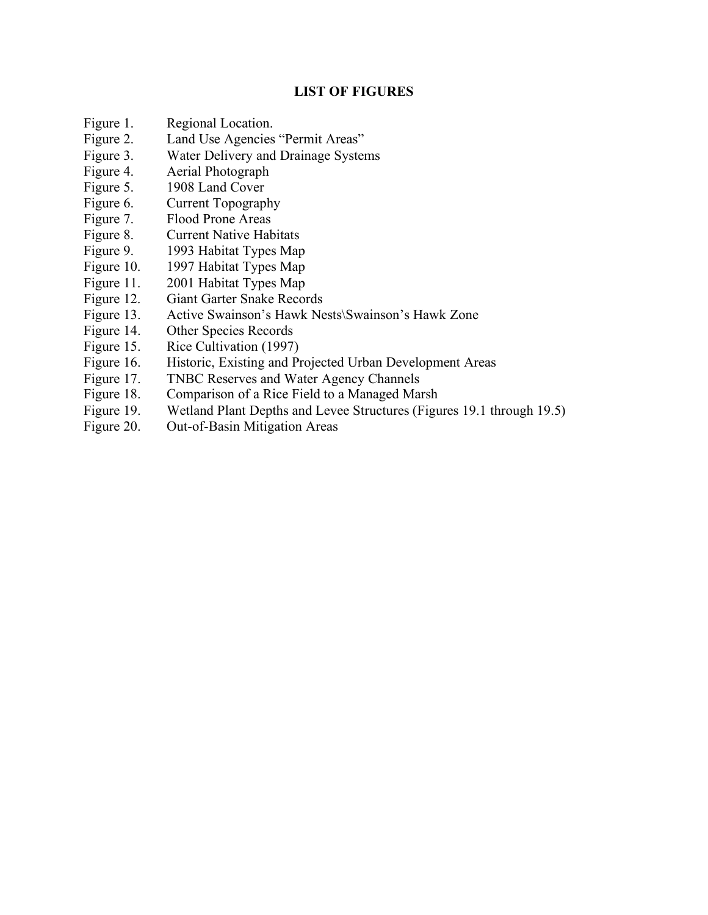### **LIST OF FIGURES**

- Figure 1. Regional Location.
- Figure 2. Land Use Agencies "Permit Areas"
- Figure 3. Water Delivery and Drainage Systems
- Figure 4. Aerial Photograph
- Figure 5. 1908 Land Cover
- Figure 6. Current Topography
- Figure 7. Flood Prone Areas
- Figure 8. Current Native Habitats
- Figure 9. 1993 Habitat Types Map
- Figure 10. 1997 Habitat Types Map
- Figure 11. 2001 Habitat Types Map
- Figure 12. Giant Garter Snake Records
- Figure 13. Active Swainson's Hawk Nests\Swainson's Hawk Zone
- Figure 14. Other Species Records
- Figure 15. Rice Cultivation (1997)
- Figure 16. Historic, Existing and Projected Urban Development Areas
- Figure 17. TNBC Reserves and Water Agency Channels
- Figure 18. Comparison of a Rice Field to a Managed Marsh
- Figure 19. Wetland Plant Depths and Levee Structures (Figures 19.1 through 19.5)
- Figure 20. Out-of-Basin Mitigation Areas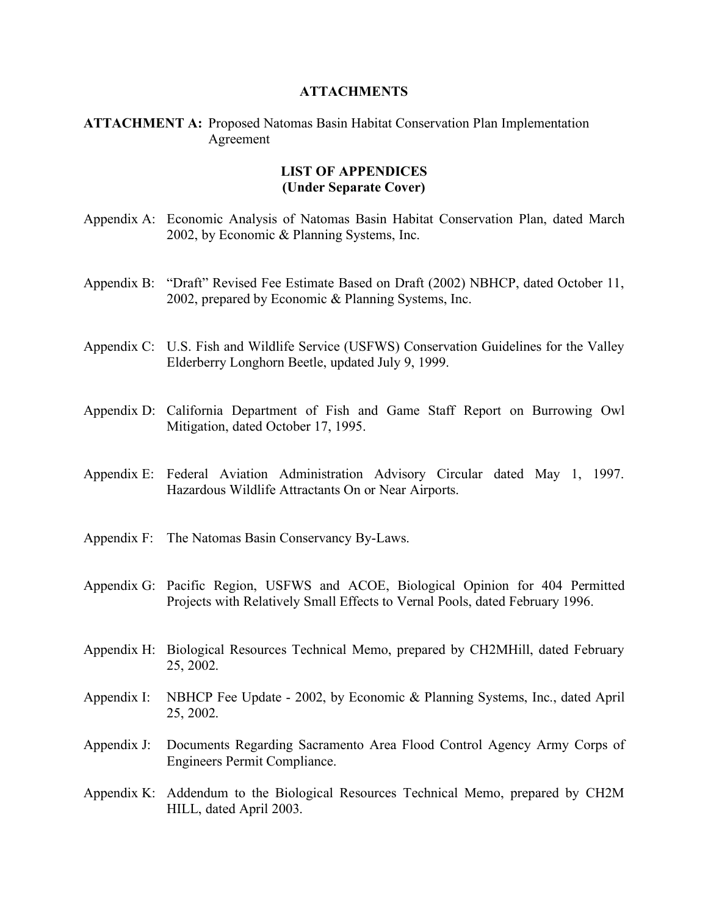#### **ATTACHMENTS**

### **ATTACHMENT A:** Proposed Natomas Basin Habitat Conservation Plan Implementation Agreement

### **LIST OF APPENDICES (Under Separate Cover)**

- Appendix A: Economic Analysis of Natomas Basin Habitat Conservation Plan, dated March 2002, by Economic & Planning Systems, Inc.
- Appendix B: "Draft" Revised Fee Estimate Based on Draft (2002) NBHCP, dated October 11, 2002, prepared by Economic & Planning Systems, Inc.
- Appendix C: U.S. Fish and Wildlife Service (USFWS) Conservation Guidelines for the Valley Elderberry Longhorn Beetle, updated July 9, 1999.
- Appendix D: California Department of Fish and Game Staff Report on Burrowing Owl Mitigation, dated October 17, 1995.
- Appendix E: Federal Aviation Administration Advisory Circular dated May 1, 1997. Hazardous Wildlife Attractants On or Near Airports.
- Appendix F: The Natomas Basin Conservancy By-Laws.
- Appendix G: Pacific Region, USFWS and ACOE, Biological Opinion for 404 Permitted Projects with Relatively Small Effects to Vernal Pools, dated February 1996.
- Appendix H: Biological Resources Technical Memo, prepared by CH2MHill, dated February 25, 2002.
- Appendix I: NBHCP Fee Update 2002, by Economic & Planning Systems, Inc., dated April 25, 2002.
- Appendix J: Documents Regarding Sacramento Area Flood Control Agency Army Corps of Engineers Permit Compliance.
- Appendix K: Addendum to the Biological Resources Technical Memo, prepared by CH2M HILL, dated April 2003.